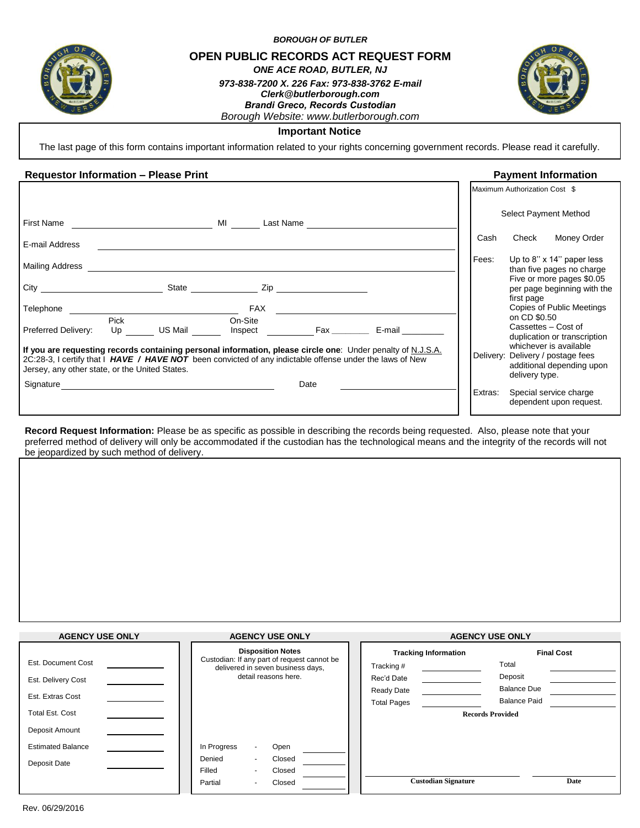

*BOROUGH OF BUTLER*

**OPEN PUBLIC RECORDS ACT REQUEST FORM**

*ONE ACE ROAD, BUTLER, NJ*

*973-838-7200 X. 226 Fax: 973-838-3762 E-mail Clerk@butlerborough.com Brandi Greco, Records Custodian Borough Website: www.butlerborough.com* 



# **Important Notice**

The last page of this form contains important information related to your rights concerning government records. Please read it carefully.

## **Requestor Information – Please Print Payment Information**

|                                                                                                                                                                                                                                                                           |                                         |         | Maximum Authorization Cost \$                                                                                             |
|---------------------------------------------------------------------------------------------------------------------------------------------------------------------------------------------------------------------------------------------------------------------------|-----------------------------------------|---------|---------------------------------------------------------------------------------------------------------------------------|
| First Name <b>First Name</b>                                                                                                                                                                                                                                              | <b>MI</b><br>Last Name <b>Algebra</b>   |         | Select Payment Method                                                                                                     |
| E-mail Address                                                                                                                                                                                                                                                            |                                         | Cash    | Check<br>Money Order                                                                                                      |
| Mailing Address                                                                                                                                                                                                                                                           |                                         | Fees:   | Up to 8" $\times$ 14" paper less<br>than five pages no charge<br>Five or more pages \$0.05<br>per page beginning with the |
| <b>Telephone Example 20</b><br>Pick<br>US Mail<br>Preferred Delivery:<br>Up                                                                                                                                                                                               | FAX<br>On-Site<br>E-mail<br>Inspect Fax |         | first page<br>Copies of Public Meetings<br>on CD \$0.50<br>Cassettes - Cost of<br>duplication or transcription            |
| If you are requesting records containing personal information, please circle one: Under penalty of N.J.S.A.<br>2C:28-3, I certify that I HAVE / HAVE NOT been convicted of any indictable offense under the laws of New<br>Jersey, any other state, or the United States. |                                         |         | whichever is available<br>Delivery: Delivery / postage fees<br>additional depending upon<br>delivery type.                |
|                                                                                                                                                                                                                                                                           | Date                                    | Extras: | Special service charge<br>dependent upon request.                                                                         |

**Record Request Information:** Please be as specific as possible in describing the records being requested. Also, please note that your preferred method of delivery will only be accommodated if the custodian has the technological means and the integrity of the records will not be jeopardized by such method of delivery.

| <b>AGENCY USE ONLY</b>   | <b>AGENCY USE ONLY</b>                                                           | <b>AGENCY USE ONLY</b>      |                         |  |
|--------------------------|----------------------------------------------------------------------------------|-----------------------------|-------------------------|--|
|                          | <b>Disposition Notes</b>                                                         | <b>Tracking Information</b> | <b>Final Cost</b>       |  |
| Est. Document Cost       | Custodian: If any part of request cannot be<br>delivered in seven business days, | Tracking #                  | Total                   |  |
| Est. Delivery Cost       | detail reasons here.                                                             | Rec'd Date                  | Deposit                 |  |
| Est. Extras Cost         |                                                                                  | Ready Date                  | <b>Balance Due</b>      |  |
|                          |                                                                                  | <b>Total Pages</b>          | <b>Balance Paid</b>     |  |
| <b>Total Est. Cost</b>   |                                                                                  |                             | <b>Records Provided</b> |  |
| Deposit Amount           |                                                                                  |                             |                         |  |
| <b>Estimated Balance</b> | In Progress<br>Open<br>$\blacksquare$                                            |                             |                         |  |
| Deposit Date             | Denied<br>Closed                                                                 |                             |                         |  |
|                          | Closed<br>Filled                                                                 |                             |                         |  |
|                          | Closed<br>Partial<br>$\overline{\phantom{0}}$                                    | <b>Custodian Signature</b>  | Date                    |  |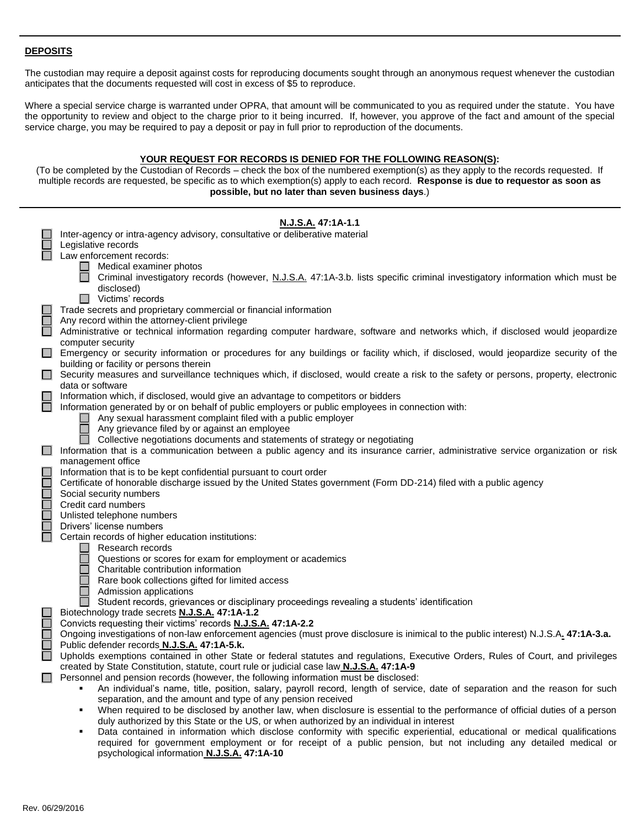## **DEPOSITS**

The custodian may require a deposit against costs for reproducing documents sought through an anonymous request whenever the custodian anticipates that the documents requested will cost in excess of \$5 to reproduce.

Where a special service charge is warranted under OPRA, that amount will be communicated to you as required under the statute. You have the opportunity to review and object to the charge prior to it being incurred. If, however, you approve of the fact and amount of the special service charge, you may be required to pay a deposit or pay in full prior to reproduction of the documents.

### **YOUR REQUEST FOR RECORDS IS DENIED FOR THE FOLLOWING REASON(S):**

(To be completed by the Custodian of Records – check the box of the numbered exemption(s) as they apply to the records requested. If multiple records are requested, be specific as to which exemption(s) apply to each record. **Response is due to requestor as soon as possible, but no later than seven business days**.)

|                    | N.J.S.A. 47:1A-1.1<br>Inter-agency or intra-agency advisory, consultative or deliberative material                                                                                                                                            |
|--------------------|-----------------------------------------------------------------------------------------------------------------------------------------------------------------------------------------------------------------------------------------------|
|                    | Legislative records                                                                                                                                                                                                                           |
|                    | Law enforcement records:                                                                                                                                                                                                                      |
|                    | Medical examiner photos                                                                                                                                                                                                                       |
|                    | Criminal investigatory records (however, N.J.S.A. 47:1A-3.b. lists specific criminal investigatory information which must be                                                                                                                  |
|                    | disclosed)                                                                                                                                                                                                                                    |
|                    | $\Box$ Victims' records                                                                                                                                                                                                                       |
|                    | Trade secrets and proprietary commercial or financial information                                                                                                                                                                             |
| $\Box$<br>П        | Any record within the attorney-client privilege<br>Administrative or technical information regarding computer hardware, software and networks which, if disclosed would jeopardize                                                            |
|                    | computer security                                                                                                                                                                                                                             |
| <b>The Company</b> | Emergency or security information or procedures for any buildings or facility which, if disclosed, would jeopardize security of the                                                                                                           |
|                    | building or facility or persons therein                                                                                                                                                                                                       |
| $\Box$             | Security measures and surveillance techniques which, if disclosed, would create a risk to the safety or persons, property, electronic                                                                                                         |
|                    | data or software                                                                                                                                                                                                                              |
|                    | Information which, if disclosed, would give an advantage to competitors or bidders                                                                                                                                                            |
| $\Box$             | Information generated by or on behalf of public employers or public employees in connection with:                                                                                                                                             |
|                    | Any sexual harassment complaint filed with a public employer                                                                                                                                                                                  |
|                    | Any grievance filed by or against an employee<br>Collective negotiations documents and statements of strategy or negotiating                                                                                                                  |
| $\Box$             | Information that is a communication between a public agency and its insurance carrier, administrative service organization or risk                                                                                                            |
|                    | management office                                                                                                                                                                                                                             |
| $\Box$             | Information that is to be kept confidential pursuant to court order                                                                                                                                                                           |
| $\Box$             | Certificate of honorable discharge issued by the United States government (Form DD-214) filed with a public agency                                                                                                                            |
| $\Box$             | Social security numbers                                                                                                                                                                                                                       |
| $\Box$             | Credit card numbers                                                                                                                                                                                                                           |
| $\Box$             | Unlisted telephone numbers                                                                                                                                                                                                                    |
| $\Box$             | Drivers' license numbers                                                                                                                                                                                                                      |
|                    | Certain records of higher education institutions:<br>Research records                                                                                                                                                                         |
|                    | Questions or scores for exam for employment or academics                                                                                                                                                                                      |
|                    | Charitable contribution information                                                                                                                                                                                                           |
|                    | Rare book collections gifted for limited access                                                                                                                                                                                               |
|                    | Admission applications                                                                                                                                                                                                                        |
|                    | Student records, grievances or disciplinary proceedings revealing a students' identification                                                                                                                                                  |
|                    | Biotechnology trade secrets N.J.S.A. 47:1A-1.2                                                                                                                                                                                                |
| $\Box$<br>$\Box$   | Convicts requesting their victims' records N.J.S.A. 47:1A-2.2<br>Ongoing investigations of non-law enforcement agencies (must prove disclosure is inimical to the public interest) N.J.S.A. 47:1A-3.a.                                        |
| $\Box$             | Public defender records N.J.S.A. 47:1A-5.k.                                                                                                                                                                                                   |
|                    | Upholds exemptions contained in other State or federal statutes and regulations, Executive Orders, Rules of Court, and privileges                                                                                                             |
|                    | created by State Constitution, statute, court rule or judicial case law <b>N.J.S.A.</b> 47:1A-9                                                                                                                                               |
|                    | Personnel and pension records (however, the following information must be disclosed:                                                                                                                                                          |
|                    | An individual's name, title, position, salary, payroll record, length of service, date of separation and the reason for such                                                                                                                  |
|                    | separation, and the amount and type of any pension received                                                                                                                                                                                   |
|                    | When required to be disclosed by another law, when disclosure is essential to the performance of official duties of a person                                                                                                                  |
|                    | duly authorized by this State or the US, or when authorized by an individual in interest                                                                                                                                                      |
|                    | Data contained in information which disclose conformity with specific experiential, educational or medical qualifications<br>required for government employment or for receipt of a public pension, but not including any detailed medical or |

psychological information **N.J.S.A. 47:1A-10**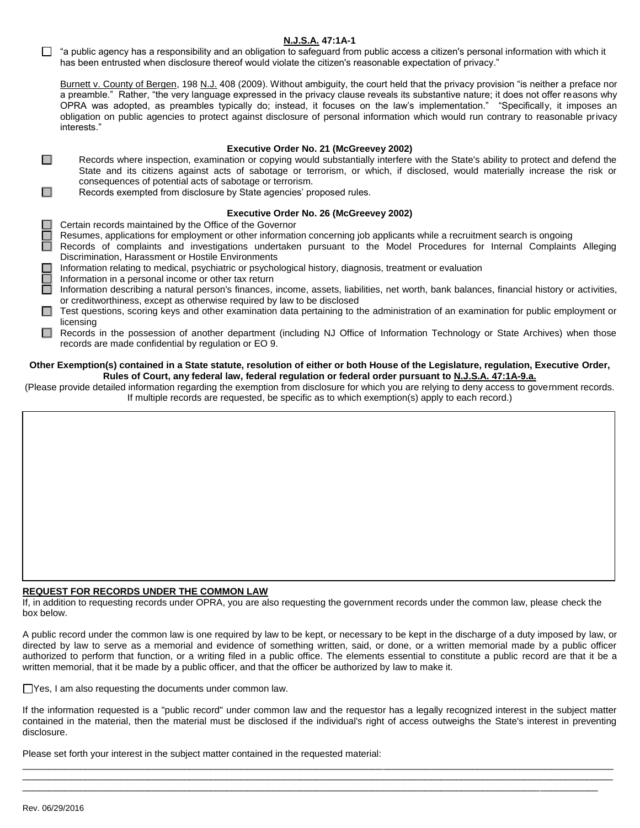## **N.J.S.A. 47:1A-1**

 $\Box$  "a public agency has a responsibility and an obligation to safeguard from public access a citizen's personal information with which it has been entrusted when disclosure thereof would violate the citizen's reasonable expectation of privacy."

Burnett v. County of Bergen, 198 N.J. 408 (2009). Without ambiguity, the court held that the privacy provision "is neither a preface nor a preamble." Rather, "the very language expressed in the privacy clause reveals its substantive nature; it does not offer reasons why OPRA was adopted, as preambles typically do; instead, it focuses on the law's implementation." "Specifically, it imposes an obligation on public agencies to protect against disclosure of personal information which would run contrary to reasonable privacy interests."

### **Executive Order No. 21 (McGreevey 2002)**

- $\Box$ Records where inspection, examination or copying would substantially interfere with the State's ability to protect and defend the State and its citizens against acts of sabotage or terrorism, or which, if disclosed, would materially increase the risk or consequences of potential acts of sabotage or terrorism.
- Records exempted from disclosure by State agencies' proposed rules.  $\Box$

### **Executive Order No. 26 (McGreevey 2002)**

Certain records maintained by the Office of the Governor

- Resumes, applications for employment or other information concerning job applicants while a recruitment search is ongoing
- Records of complaints and investigations undertaken pursuant to the Model Procedures for Internal Complaints Alleging Discrimination, Harassment or Hostile Environments
- Information relating to medical, psychiatric or psychological history, diagnosis, treatment or evaluation
- Information in a personal income or other tax return
- Information describing a natural person's finances, income, assets, liabilities, net worth, bank balances, financial history or activities, or creditworthiness, except as otherwise required by law to be disclosed
- □ Test questions, scoring keys and other examination data pertaining to the administration of an examination for public employment or licensing
- Records in the possession of another department (including NJ Office of Information Technology or State Archives) when those records are made confidential by regulation or EO 9.

#### **Other Exemption(s) contained in a State statute, resolution of either or both House of the Legislature, regulation, Executive Order, Rules of Court, any federal law, federal regulation or federal order pursuant to N.J.S.A. 47:1A-9.a.**

(Please provide detailed information regarding the exemption from disclosure for which you are relying to deny access to government records. If multiple records are requested, be specific as to which exemption(s) apply to each record.)

## **REQUEST FOR RECORDS UNDER THE COMMON LAW**

If, in addition to requesting records under OPRA, you are also requesting the government records under the common law, please check the box below.

A public record under the common law is one required by law to be kept, or necessary to be kept in the discharge of a duty imposed by law, or directed by law to serve as a memorial and evidence of something written, said, or done, or a written memorial made by a public officer authorized to perform that function, or a writing filed in a public office. The elements essential to constitute a public record are that it be a written memorial, that it be made by a public officer, and that the officer be authorized by law to make it.

Yes, I am also requesting the documents under common law.

If the information requested is a "public record" under common law and the requestor has a legally recognized interest in the subject matter contained in the material, then the material must be disclosed if the individual's right of access outweighs the State's interest in preventing disclosure.

\_\_\_\_\_\_\_\_\_\_\_\_\_\_\_\_\_\_\_\_\_\_\_\_\_\_\_\_\_\_\_\_\_\_\_\_\_\_\_\_\_\_\_\_\_\_\_\_\_\_\_\_\_\_\_\_\_\_\_\_\_\_\_\_\_\_\_\_\_\_\_\_\_\_\_\_\_\_\_\_\_\_\_\_\_\_\_\_\_\_\_\_\_\_\_\_\_\_\_\_\_\_\_\_\_\_\_\_\_\_\_\_\_ \_\_\_\_\_\_\_\_\_\_\_\_\_\_\_\_\_\_\_\_\_\_\_\_\_\_\_\_\_\_\_\_\_\_\_\_\_\_\_\_\_\_\_\_\_\_\_\_\_\_\_\_\_\_\_\_\_\_\_\_\_\_\_\_\_\_\_\_\_\_\_\_\_\_\_\_\_\_\_\_\_\_\_\_\_\_\_\_\_\_\_\_\_\_\_\_\_\_\_\_\_\_\_\_\_\_\_\_\_\_\_\_\_ \_\_\_\_\_\_\_\_\_\_\_\_\_\_\_\_\_\_\_\_\_\_\_\_\_\_\_\_\_\_\_\_\_\_\_\_\_\_\_\_\_\_\_\_\_\_\_\_\_\_\_\_\_\_\_\_\_\_\_\_\_\_\_\_\_\_\_\_\_\_\_\_\_\_\_\_\_\_\_\_\_\_\_\_\_\_\_\_\_\_\_\_\_\_\_\_\_\_\_\_\_\_\_\_\_\_\_\_\_\_

Please set forth your interest in the subject matter contained in the requested material: